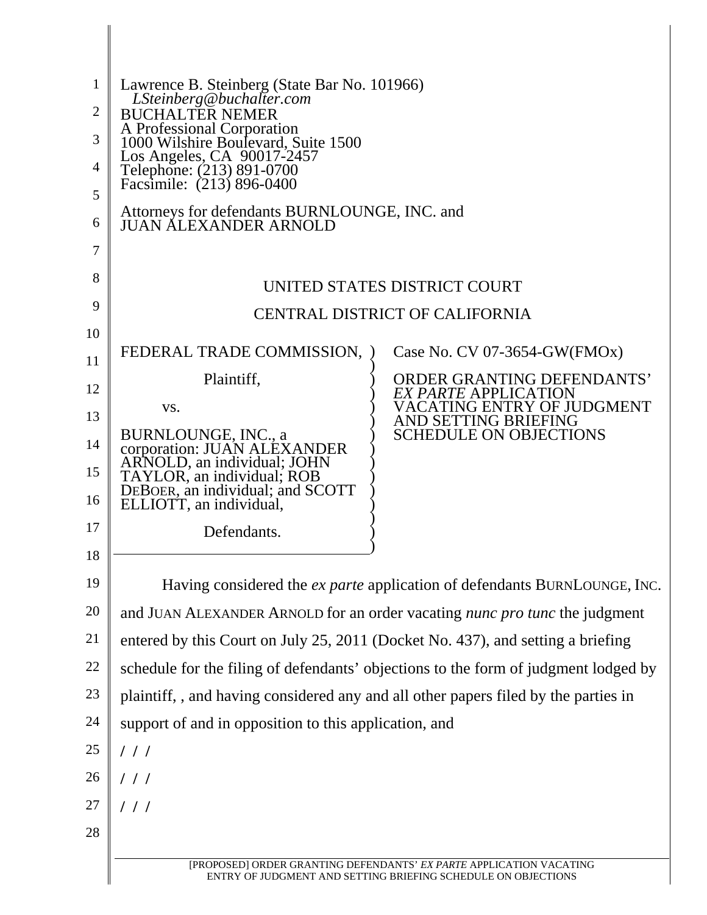| $\mathbf{1}$ | Lawrence B. Steinberg (State Bar No. 101966)<br>LSteinberg@buchalter.com                                                             |                                                                  |  |
|--------------|--------------------------------------------------------------------------------------------------------------------------------------|------------------------------------------------------------------|--|
| 2            | <b>BUCHALTER NEMER</b><br>A Professional Corporation                                                                                 |                                                                  |  |
| 3            | 1000 Wilshire Boulevard, Suite 1500                                                                                                  |                                                                  |  |
| 4<br>5       | Los Angeles, CA 90017-2457<br>Telephone: (213) 891-0700<br>Facsimile: (213) 896-0400                                                 |                                                                  |  |
| 6            | Attorneys for defendants BURNLOUNGE, INC. and<br><b>JUAN ÁLEXANDER ARNOLD</b>                                                        |                                                                  |  |
| 7            |                                                                                                                                      |                                                                  |  |
| 8            | UNITED STATES DISTRICT COURT                                                                                                         |                                                                  |  |
| 9            | <b>CENTRAL DISTRICT OF CALIFORNIA</b>                                                                                                |                                                                  |  |
| 10           |                                                                                                                                      |                                                                  |  |
| 11           | FEDERAL TRADE COMMISSION,                                                                                                            | Case No. CV 07-3654-GW(FMOx)                                     |  |
| 12           | Plaintiff,                                                                                                                           | <b>ORDER GRANTING DEFENDANTS'</b><br><i>EX PARTE</i> APPLICATION |  |
| 13           | VS.                                                                                                                                  | VACATING ENTRY OF JUDGMENT<br>AND SETTING BRIEFING               |  |
| 14           | BURNLOUNGE, INC., a<br>corporation: JUAN ALEXANDER                                                                                   | <b>SCHEDULE ON OBJECTIONS</b>                                    |  |
| 15<br>16     | ARNOLD, an individual; JOHN<br>TAYLOR, an individual; ROB<br>DEBOER, an individual; and SCOTT<br>ELLIOTT, an individual,             |                                                                  |  |
| 17           | Defendants.                                                                                                                          |                                                                  |  |
| 18           |                                                                                                                                      |                                                                  |  |
| 19           | Having considered the <i>ex parte</i> application of defendants BURNLOUNGE, INC.                                                     |                                                                  |  |
| 20           | and JUAN ALEXANDER ARNOLD for an order vacating nunc pro tunc the judgment                                                           |                                                                  |  |
| 21           | entered by this Court on July 25, 2011 (Docket No. 437), and setting a briefing                                                      |                                                                  |  |
| 22           | schedule for the filing of defendants' objections to the form of judgment lodged by                                                  |                                                                  |  |
| 23           | plaintiff, , and having considered any and all other papers filed by the parties in                                                  |                                                                  |  |
| 24           | support of and in opposition to this application, and                                                                                |                                                                  |  |
| 25           | 111                                                                                                                                  |                                                                  |  |
| 26           | 111                                                                                                                                  |                                                                  |  |
| 27           | 111                                                                                                                                  |                                                                  |  |
| 28           |                                                                                                                                      |                                                                  |  |
|              | [PROPOSED] ORDER GRANTING DEFENDANTS' EX PARTE APPLICATION VACATING<br>ENTRY OF JUDGMENT AND SETTING BRIEFING SCHEDULE ON OBJECTIONS |                                                                  |  |